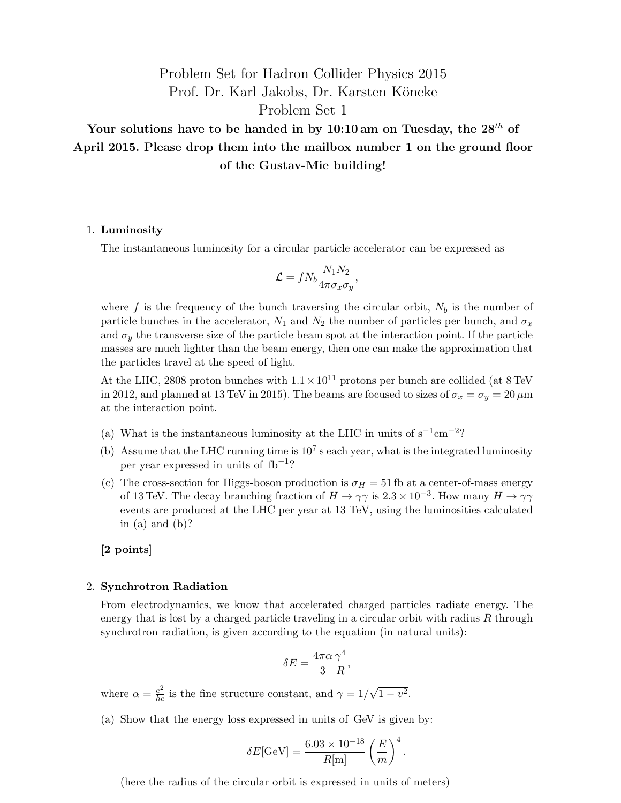# Problem Set for Hadron Collider Physics 2015 Prof. Dr. Karl Jakobs, Dr. Karsten Köneke Problem Set 1

Your solutions have to be handed in by 10:10 am on Tuesday, the  $28^{th}$  of April 2015. Please drop them into the mailbox number 1 on the ground floor of the Gustav-Mie building!

#### 1. Luminosity

The instantaneous luminosity for a circular particle accelerator can be expressed as

$$
\mathcal{L} = f N_b \frac{N_1 N_2}{4 \pi \sigma_x \sigma_y},
$$

where f is the frequency of the bunch traversing the circular orbit,  $N_b$  is the number of particle bunches in the accelerator,  $N_1$  and  $N_2$  the number of particles per bunch, and  $\sigma_x$ and  $\sigma_y$  the transverse size of the particle beam spot at the interaction point. If the particle masses are much lighter than the beam energy, then one can make the approximation that the particles travel at the speed of light.

At the LHC, 2808 proton bunches with  $1.1 \times 10^{11}$  protons per bunch are collided (at 8 TeV in 2012, and planned at 13 TeV in 2015). The beams are focused to sizes of  $\sigma_x = \sigma_y = 20 \,\mu \text{m}$ at the interaction point.

- (a) What is the instantaneous luminosity at the LHC in units of  $s^{-1}$ cm<sup>-2</sup>?
- (b) Assume that the LHC running time is  $10^7$  s each year, what is the integrated luminosity per year expressed in units of fb<sup>-1</sup>?
- (c) The cross-section for Higgs-boson production is  $\sigma_H = 51$  fb at a center-of-mass energy of 13 TeV. The decay branching fraction of  $H \to \gamma\gamma$  is  $2.3 \times 10^{-3}$ . How many  $H \to \gamma\gamma$ events are produced at the LHC per year at 13 TeV, using the luminosities calculated in (a) and  $(b)$ ?

#### [2 points]

### 2. Synchrotron Radiation

From electrodynamics, we know that accelerated charged particles radiate energy. The energy that is lost by a charged particle traveling in a circular orbit with radius  $R$  through synchrotron radiation, is given according to the equation (in natural units):

$$
\delta E = \frac{4\pi\alpha}{3} \frac{\gamma^4}{R},
$$

where  $\alpha = \frac{e^2}{\hbar c}$  is the fine structure constant, and  $\gamma = 1/$ √  $\overline{1-v^2}$ .

(a) Show that the energy loss expressed in units of GeV is given by:

$$
\delta E[\mathrm{GeV}] = \frac{6.03 \times 10^{-18}}{R[\mathrm{m}]} \left(\frac{E}{m}\right)^4.
$$

(here the radius of the circular orbit is expressed in units of meters)